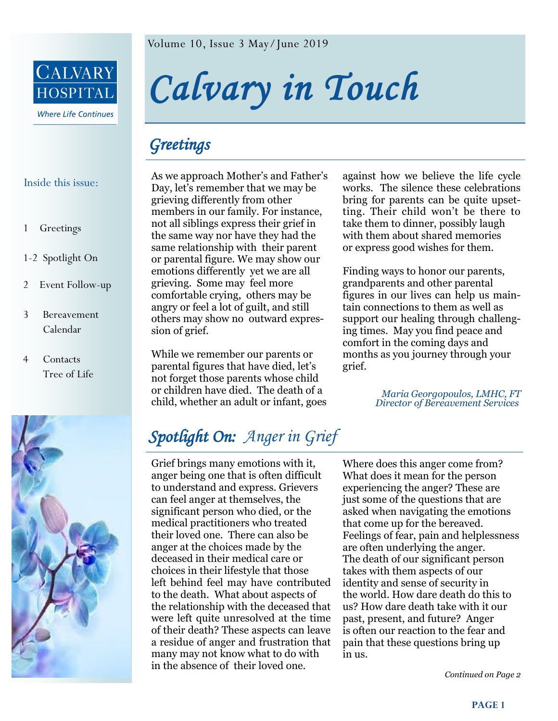

Inside this issue:

#### 1 Greetings

- 1-2 Spotlight On
- 2 Event Follow-up
- 3 Bereavement Calendar
- 4 Contacts Tree of Life



Volume 10, Issue 3 May/June 2019

*Calvary in Touch* 

# *Greetings*

As we approach Mother's and Father's Day, let's remember that we may be grieving differently from other members in our family. For instance, not all siblings express their grief in the same way nor have they had the same relationship with their parent or parental figure. We may show our emotions differently yet we are all grieving. Some may feel more comfortable crying, others may be angry or feel a lot of guilt, and still others may show no outward expression of grief.

While we remember our parents or parental figures that have died, let's not forget those parents whose child or children have died. The death of a child, whether an adult or infant, goes against how we believe the life cycle works. The silence these celebrations bring for parents can be quite upsetting. Their child won't be there to take them to dinner, possibly laugh with them about shared memories or express good wishes for them.

Finding ways to honor our parents, grandparents and other parental figures in our lives can help us maintain connections to them as well as support our healing through challenging times. May you find peace and comfort in the coming days and months as you journey through your grief.

> *Maria Georgopoulos, LMHC, FT Director of Bereavement Services*

# *Spotlight On: Anger in Grief*

Grief brings many emotions with it, anger being one that is often difficult to understand and express. Grievers can feel anger at themselves, the significant person who died, or the medical practitioners who treated their loved one. There can also be anger at the choices made by the deceased in their medical care or choices in their lifestyle that those left behind feel may have contributed to the death. What about aspects of the relationship with the deceased that were left quite unresolved at the time of their death? These aspects can leave a residue of anger and frustration that many may not know what to do with in the absence of their loved one.

Where does this anger come from? What does it mean for the person experiencing the anger? These are just some of the questions that are asked when navigating the emotions that come up for the bereaved. Feelings of fear, pain and helplessness are often underlying the anger. The death of our significant person takes with them aspects of our identity and sense of security in the world. How dare death do this to us? How dare death take with it our past, present, and future? Anger is often our reaction to the fear and pain that these questions bring up in us.

*Continued on Page 2*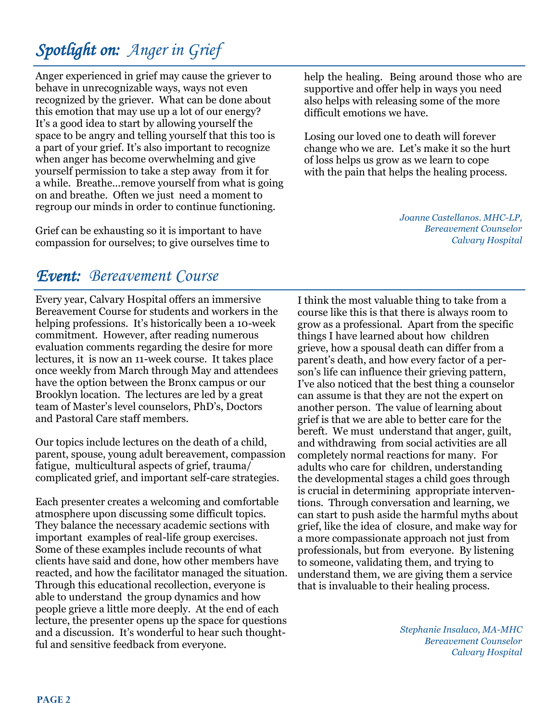# *Spotlight on: Anger in Grief*

Anger experienced in grief may cause the griever to behave in unrecognizable ways, ways not even recognized by the griever. What can be done about this emotion that may use up a lot of our energy? It's a good idea to start by allowing yourself the space to be angry and telling yourself that this too is a part of your grief. It's also important to recognize when anger has become overwhelming and give yourself permission to take a step away from it for a while. Breathe...remove yourself from what is going on and breathe. Often we just need a moment to regroup our minds in order to continue functioning.

Grief can be exhausting so it is important to have compassion for ourselves; to give ourselves time to help the healing. Being around those who are supportive and offer help in ways you need also helps with releasing some of the more difficult emotions we have.

Losing our loved one to death will forever change who we are. Let's make it so the hurt of loss helps us grow as we learn to cope with the pain that helps the healing process.

> *Joanne Castellanos. MHC-LP, Bereavement Counselor Calvary Hospital*

## *Event: Bereavement Course*

Every year, Calvary Hospital offers an immersive Bereavement Course for students and workers in the helping professions. It's historically been a 10-week commitment. However, after reading numerous evaluation comments regarding the desire for more lectures, it is now an 11-week course. It takes place once weekly from March through May and attendees have the option between the Bronx campus or our Brooklyn location. The lectures are led by a great team of Master's level counselors, PhD's, Doctors and Pastoral Care staff members.

Our topics include lectures on the death of a child, parent, spouse, young adult bereavement, compassion fatigue, multicultural aspects of grief, trauma/ complicated grief, and important self-care strategies.

Each presenter creates a welcoming and comfortable atmosphere upon discussing some difficult topics. They balance the necessary academic sections with important examples of real-life group exercises. Some of these examples include recounts of what clients have said and done, how other members have reacted, and how the facilitator managed the situation. Through this educational recollection, everyone is able to understand the group dynamics and how people grieve a little more deeply. At the end of each lecture, the presenter opens up the space for questions and a discussion. It's wonderful to hear such thoughtful and sensitive feedback from everyone.

I think the most valuable thing to take from a course like this is that there is always room to grow as a professional. Apart from the specific things I have learned about how children grieve, how a spousal death can differ from a parent's death, and how every factor of a person's life can influence their grieving pattern, I've also noticed that the best thing a counselor can assume is that they are not the expert on another person. The value of learning about grief is that we are able to better care for the bereft. We must understand that anger, guilt, and withdrawing from social activities are all completely normal reactions for many. For adults who care for children, understanding the developmental stages a child goes through is crucial in determining appropriate interventions. Through conversation and learning, we can start to push aside the harmful myths about grief, like the idea of closure, and make way for a more compassionate approach not just from professionals, but from everyone. By listening to someone, validating them, and trying to understand them, we are giving them a service that is invaluable to their healing process.

> *Stephanie Insalaco, MA-MHC Bereavement Counselor Calvary Hospital*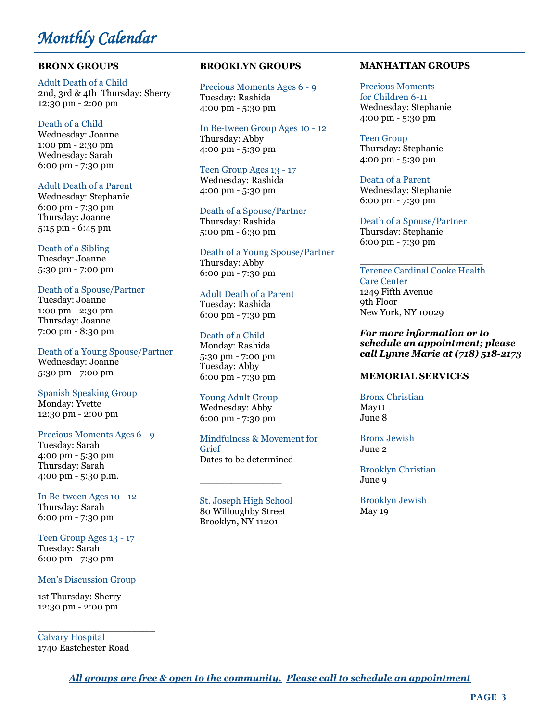## *Monthly Calendar*

#### **BRONX GROUPS**

Adult Death of a Child 2nd, 3rd & 4th Thursday: Sherry 12:30 pm - 2:00 pm

#### Death of a Child

Wednesday: Joanne 1:00 pm - 2:30 pm Wednesday: Sarah 6:00 pm - 7:30 pm

#### Adult Death of a Parent

Wednesday: Stephanie 6:00 pm - 7:30 pm Thursday: Joanne 5:15 pm - 6:45 pm

#### Death of a Sibling

Tuesday: Joanne 5:30 pm - 7:00 pm

#### Death of a Spouse/Partner

Tuesday: Joanne 1:00 pm - 2:30 pm Thursday: Joanne 7:00 pm - 8:30 pm

Death of a Young Spouse/Partner Wednesday: Joanne 5:30 pm - 7:00 pm

#### Spanish Speaking Group

Monday: Yvette 12:30 pm - 2:00 pm

#### Precious Moments Ages 6 - 9

Tuesday: Sarah 4:00 pm - 5:30 pm Thursday: Sarah 4:00 pm - 5:30 p.m.

In Be-tween Ages 10 - 12 Thursday: Sarah 6:00 pm - 7:30 pm

Teen Group Ages 13 - 17 Tuesday: Sarah 6:00 pm - 7:30 pm

#### Men's Discussion Group

1st Thursday: Sherry 12:30 pm - 2:00 pm

 $\_$ Calvary Hospital 1740 Eastchester Road

#### **BROOKLYN GROUPS**

Precious Moments Ages 6 - 9 Tuesday: Rashida 4:00 pm - 5:30 pm

In Be-tween Group Ages 10 - 12 Thursday: Abby 4:00 pm - 5:30 pm

Teen Group Ages 13 - 17 Wednesday: Rashida 4:00 pm - 5:30 pm

Death of a Spouse/Partner Thursday: Rashida 5:00 pm - 6:30 pm

Death of a Young Spouse/Partner Thursday: Abby 6:00 pm - 7:30 pm

#### Adult Death of a Parent

Tuesday: Rashida 6:00 pm - 7:30 pm

#### Death of a Child

Monday: Rashida 5:30 pm - 7:00 pm Tuesday: Abby 6:00 pm - 7:30 pm

#### Young Adult Group

Wednesday: Abby 6:00 pm - 7:30 pm

Mindfulness & Movement for Grief Dates to be determined

St. Joseph High School 80 Willoughby Street Brooklyn, NY 11201

 $\overline{\phantom{a}}$  , where  $\overline{\phantom{a}}$ 

#### **MANHATTAN GROUPS**

Precious Moments for Children 6-11 Wednesday: Stephanie 4:00 pm - 5:30 pm

Teen Group Thursday: Stephanie 4:00 pm - 5:30 pm

Death of a Parent Wednesday: Stephanie 6:00 pm - 7:30 pm

Death of a Spouse/Partner Thursday: Stephanie 6:00 pm - 7:30 pm

#### $\overline{\phantom{a}}$  , and the set of the set of the set of the set of the set of the set of the set of the set of the set of the set of the set of the set of the set of the set of the set of the set of the set of the set of the s Terence Cardinal Cooke Health Care Center 1249 Fifth Avenue 9th Floor New York, NY 10029

*For more information or to schedule an appointment; please call Lynne Marie at (718) 518-2173*

#### **MEMORIAL SERVICES**

Bronx Christian May11 June 8

Bronx Jewish June 2

Brooklyn Christian June 9

Brooklyn Jewish May 19